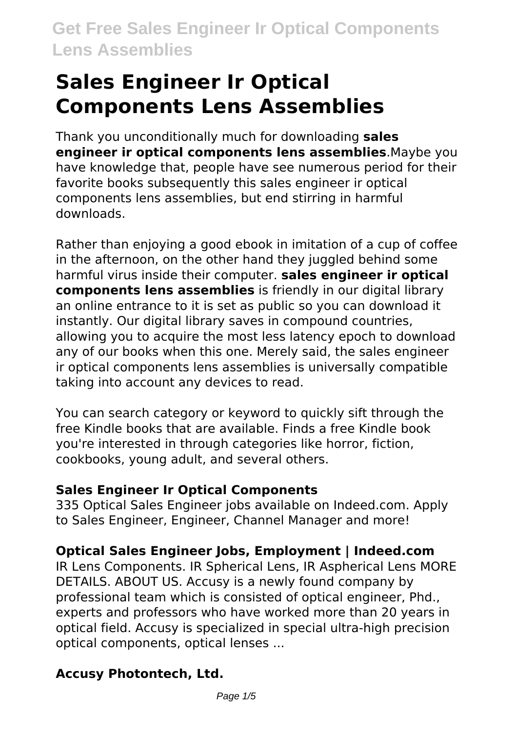Thank you unconditionally much for downloading **sales engineer ir optical components lens assemblies**.Maybe you have knowledge that, people have see numerous period for their favorite books subsequently this sales engineer ir optical components lens assemblies, but end stirring in harmful downloads.

Rather than enjoying a good ebook in imitation of a cup of coffee in the afternoon, on the other hand they juggled behind some harmful virus inside their computer. **sales engineer ir optical components lens assemblies** is friendly in our digital library an online entrance to it is set as public so you can download it instantly. Our digital library saves in compound countries, allowing you to acquire the most less latency epoch to download any of our books when this one. Merely said, the sales engineer ir optical components lens assemblies is universally compatible taking into account any devices to read.

You can search category or keyword to quickly sift through the free Kindle books that are available. Finds a free Kindle book you're interested in through categories like horror, fiction, cookbooks, young adult, and several others.

## **Sales Engineer Ir Optical Components**

335 Optical Sales Engineer jobs available on Indeed.com. Apply to Sales Engineer, Engineer, Channel Manager and more!

# **Optical Sales Engineer Jobs, Employment | Indeed.com**

IR Lens Components. IR Spherical Lens, IR Aspherical Lens MORE DETAILS. ABOUT US. Accusy is a newly found company by professional team which is consisted of optical engineer, Phd., experts and professors who have worked more than 20 years in optical field. Accusy is specialized in special ultra-high precision optical components, optical lenses ...

# **Accusy Photontech, Ltd.**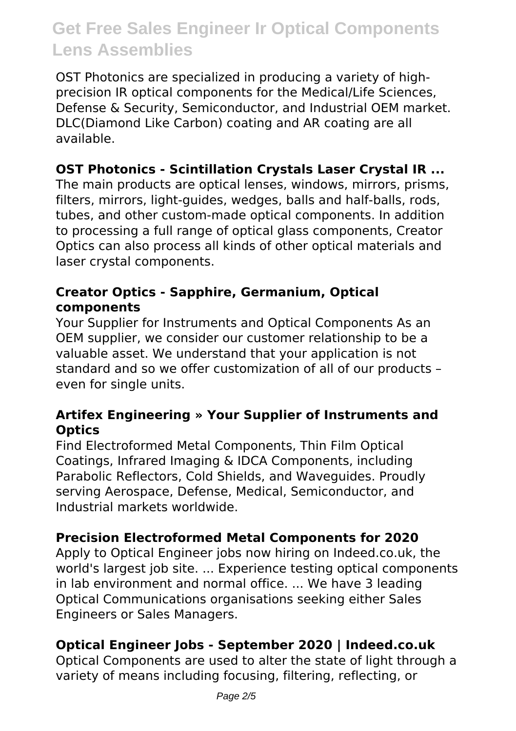OST Photonics are specialized in producing a variety of highprecision IR optical components for the Medical/Life Sciences, Defense & Security, Semiconductor, and Industrial OEM market. DLC(Diamond Like Carbon) coating and AR coating are all available.

#### **OST Photonics - Scintillation Crystals Laser Crystal IR ...**

The main products are optical lenses, windows, mirrors, prisms, filters, mirrors, light-guides, wedges, balls and half-balls, rods, tubes, and other custom-made optical components. In addition to processing a full range of optical glass components, Creator Optics can also process all kinds of other optical materials and laser crystal components.

#### **Creator Optics - Sapphire, Germanium, Optical components**

Your Supplier for Instruments and Optical Components As an OEM supplier, we consider our customer relationship to be a valuable asset. We understand that your application is not standard and so we offer customization of all of our products – even for single units.

#### **Artifex Engineering » Your Supplier of Instruments and Optics**

Find Electroformed Metal Components, Thin Film Optical Coatings, Infrared Imaging & IDCA Components, including Parabolic Reflectors, Cold Shields, and Waveguides. Proudly serving Aerospace, Defense, Medical, Semiconductor, and Industrial markets worldwide.

## **Precision Electroformed Metal Components for 2020**

Apply to Optical Engineer jobs now hiring on Indeed.co.uk, the world's largest job site. ... Experience testing optical components in lab environment and normal office. ... We have 3 leading Optical Communications organisations seeking either Sales Engineers or Sales Managers.

## **Optical Engineer Jobs - September 2020 | Indeed.co.uk**

Optical Components are used to alter the state of light through a variety of means including focusing, filtering, reflecting, or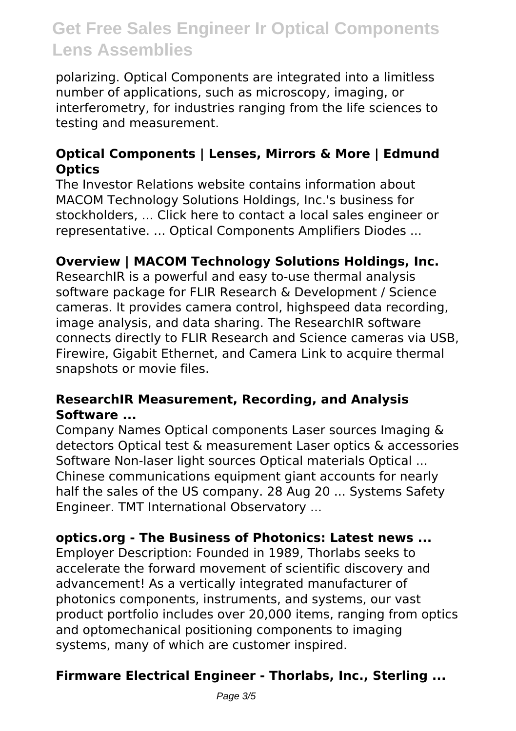polarizing. Optical Components are integrated into a limitless number of applications, such as microscopy, imaging, or interferometry, for industries ranging from the life sciences to testing and measurement.

### **Optical Components | Lenses, Mirrors & More | Edmund Optics**

The Investor Relations website contains information about MACOM Technology Solutions Holdings, Inc.'s business for stockholders, ... Click here to contact a local sales engineer or representative. ... Optical Components Amplifiers Diodes ...

#### **Overview | MACOM Technology Solutions Holdings, Inc.**

ResearchIR is a powerful and easy to-use thermal analysis software package for FLIR Research & Development / Science cameras. It provides camera control, highspeed data recording, image analysis, and data sharing. The ResearchIR software connects directly to FLIR Research and Science cameras via USB, Firewire, Gigabit Ethernet, and Camera Link to acquire thermal snapshots or movie files.

#### **ResearchIR Measurement, Recording, and Analysis Software ...**

Company Names Optical components Laser sources Imaging & detectors Optical test & measurement Laser optics & accessories Software Non-laser light sources Optical materials Optical ... Chinese communications equipment giant accounts for nearly half the sales of the US company. 28 Aug 20 ... Systems Safety Engineer. TMT International Observatory ...

#### **optics.org - The Business of Photonics: Latest news ...**

Employer Description: Founded in 1989, Thorlabs seeks to accelerate the forward movement of scientific discovery and advancement! As a vertically integrated manufacturer of photonics components, instruments, and systems, our vast product portfolio includes over 20,000 items, ranging from optics and optomechanical positioning components to imaging systems, many of which are customer inspired.

## **Firmware Electrical Engineer - Thorlabs, Inc., Sterling ...**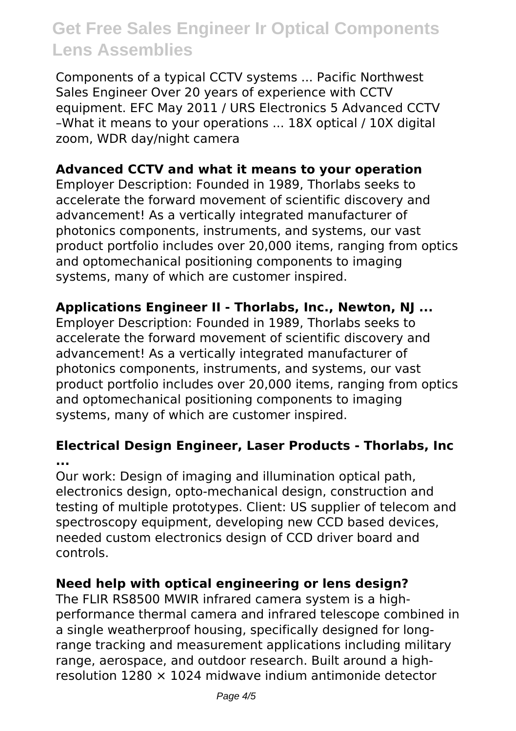Components of a typical CCTV systems ... Pacific Northwest Sales Engineer Over 20 years of experience with CCTV equipment. EFC May 2011 / URS Electronics 5 Advanced CCTV –What it means to your operations ... 18X optical / 10X digital zoom, WDR day/night camera

#### **Advanced CCTV and what it means to your operation**

Employer Description: Founded in 1989, Thorlabs seeks to accelerate the forward movement of scientific discovery and advancement! As a vertically integrated manufacturer of photonics components, instruments, and systems, our vast product portfolio includes over 20,000 items, ranging from optics and optomechanical positioning components to imaging systems, many of which are customer inspired.

#### **Applications Engineer II - Thorlabs, Inc., Newton, NJ ...**

Employer Description: Founded in 1989, Thorlabs seeks to accelerate the forward movement of scientific discovery and advancement! As a vertically integrated manufacturer of photonics components, instruments, and systems, our vast product portfolio includes over 20,000 items, ranging from optics and optomechanical positioning components to imaging systems, many of which are customer inspired.

#### **Electrical Design Engineer, Laser Products - Thorlabs, Inc ...**

Our work: Design of imaging and illumination optical path, electronics design, opto-mechanical design, construction and testing of multiple prototypes. Client: US supplier of telecom and spectroscopy equipment, developing new CCD based devices, needed custom electronics design of CCD driver board and controls.

#### **Need help with optical engineering or lens design?**

The FLIR RS8500 MWIR infrared camera system is a highperformance thermal camera and infrared telescope combined in a single weatherproof housing, specifically designed for longrange tracking and measurement applications including military range, aerospace, and outdoor research. Built around a highresolution  $1280 \times 1024$  midwave indium antimonide detector